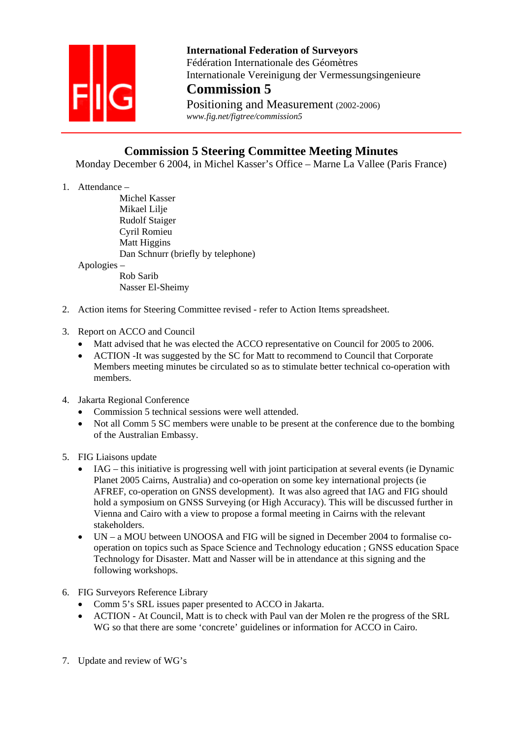

 **International Federation of Surveyors**  Fédération Internationale des Géomètres Internationale Vereinigung der Vermessungsingenieure **Commission 5**

Positioning and Measurement (2002-2006)  *www.fig.net/figtree/commission5* 

## **Commission 5 Steering Committee Meeting Minutes**

Monday December 6 2004, in Michel Kasser's Office – Marne La Vallee (Paris France)

1. Attendance –

Michel Kasser Mikael Lilie Rudolf Staiger Cyril Romieu Matt Higgins Dan Schnurr (briefly by telephone)

Apologies –

 Rob Sarib Nasser El-Sheimy

- 2. Action items for Steering Committee revised refer to Action Items spreadsheet.
- 3. Report on ACCO and Council
	- Matt advised that he was elected the ACCO representative on Council for 2005 to 2006.
	- ACTION -It was suggested by the SC for Matt to recommend to Council that Corporate Members meeting minutes be circulated so as to stimulate better technical co-operation with members.
- 4. Jakarta Regional Conference
	- Commission 5 technical sessions were well attended.
	- Not all Comm 5 SC members were unable to be present at the conference due to the bombing of the Australian Embassy.
- 5. FIG Liaisons update
	- IAG this initiative is progressing well with joint participation at several events (ie Dynamic Planet 2005 Cairns, Australia) and co-operation on some key international projects (ie AFREF, co-operation on GNSS development). It was also agreed that IAG and FIG should hold a symposium on GNSS Surveying (or High Accuracy). This will be discussed further in Vienna and Cairo with a view to propose a formal meeting in Cairns with the relevant stakeholders.
	- UN a MOU between UNOOSA and FIG will be signed in December 2004 to formalise cooperation on topics such as Space Science and Technology education ; GNSS education Space Technology for Disaster. Matt and Nasser will be in attendance at this signing and the following workshops.
- 6. FIG Surveyors Reference Library
	- Comm 5's SRL issues paper presented to ACCO in Jakarta.
	- ACTION At Council, Matt is to check with Paul van der Molen re the progress of the SRL WG so that there are some 'concrete' guidelines or information for ACCO in Cairo.
- 7. Update and review of WG's